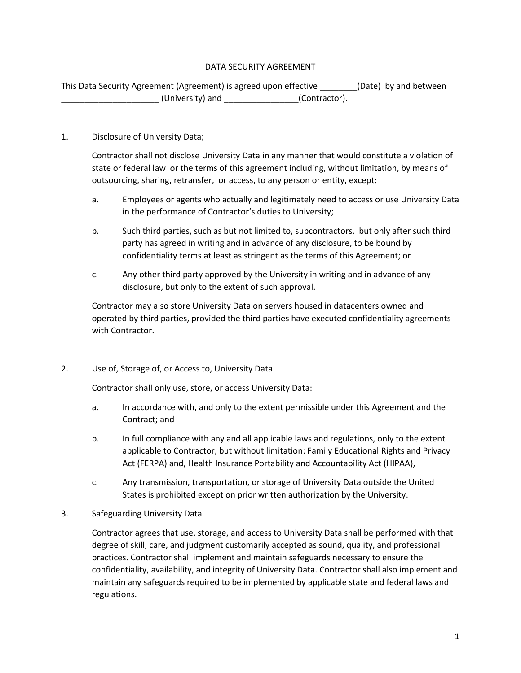# DATA SECURITY AGREEMENT

This Data Security Agreement (Agreement) is agreed upon effective \_\_\_\_\_\_\_\_(Date) by and between \_\_\_\_\_\_\_\_\_\_\_\_\_\_\_\_\_\_\_\_\_ (University) and \_\_\_\_\_\_\_\_\_\_\_\_\_\_\_\_(Contractor).

# 1. Disclosure of University Data;

Contractor shall not disclose University Data in any manner that would constitute a violation of state or federal law or the terms of this agreement including, without limitation, by means of outsourcing, sharing, retransfer, or access, to any person or entity, except:

- a. Employees or agents who actually and legitimately need to access or use University Data in the performance of Contractor's duties to University;
- b. Such third parties, such as but not limited to, subcontractors, but only after such third party has agreed in writing and in advance of any disclosure, to be bound by confidentiality terms at least as stringent as the terms of this Agreement; or
- c. Any other third party approved by the University in writing and in advance of any disclosure, but only to the extent of such approval.

Contractor may also store University Data on servers housed in datacenters owned and operated by third parties, provided the third parties have executed confidentiality agreements with Contractor.

# 2. Use of, Storage of, or Access to, University Data

Contractor shall only use, store, or access University Data:

- a. In accordance with, and only to the extent permissible under this Agreement and the Contract; and
- b. In full compliance with any and all applicable laws and regulations, only to the extent applicable to Contractor, but without limitation: Family Educational Rights and Privacy Act (FERPA) and, Health Insurance Portability and Accountability Act (HIPAA),
- c. Any transmission, transportation, or storage of University Data outside the United States is prohibited except on prior written authorization by the University.

# 3. Safeguarding University Data

Contractor agrees that use, storage, and access to University Data shall be performed with that degree of skill, care, and judgment customarily accepted as sound, quality, and professional practices. Contractor shall implement and maintain safeguards necessary to ensure the confidentiality, availability, and integrity of University Data. Contractor shall also implement and maintain any safeguards required to be implemented by applicable state and federal laws and regulations.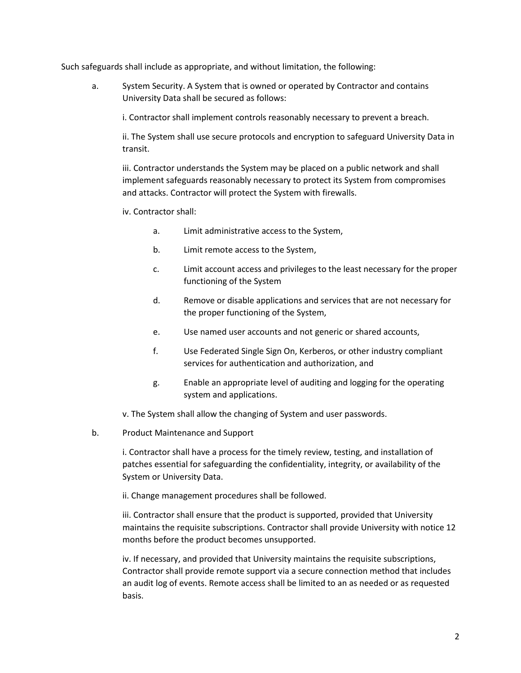Such safeguards shall include as appropriate, and without limitation, the following:

a. System Security. A System that is owned or operated by Contractor and contains University Data shall be secured as follows:

i. Contractor shall implement controls reasonably necessary to prevent a breach.

ii. The System shall use secure protocols and encryption to safeguard University Data in transit.

iii. Contractor understands the System may be placed on a public network and shall implement safeguards reasonably necessary to protect its System from compromises and attacks. Contractor will protect the System with firewalls.

iv. Contractor shall:

- a. Limit administrative access to the System,
- b. Limit remote access to the System,
- c. Limit account access and privileges to the least necessary for the proper functioning of the System
- d. Remove or disable applications and services that are not necessary for the proper functioning of the System,
- e. Use named user accounts and not generic or shared accounts,
- f. Use Federated Single Sign On, Kerberos, or other industry compliant services for authentication and authorization, and
- g. Enable an appropriate level of auditing and logging for the operating system and applications.

v. The System shall allow the changing of System and user passwords.

b. Product Maintenance and Support

i. Contractor shall have a process for the timely review, testing, and installation of patches essential for safeguarding the confidentiality, integrity, or availability of the System or University Data.

ii. Change management procedures shall be followed.

iii. Contractor shall ensure that the product is supported, provided that University maintains the requisite subscriptions. Contractor shall provide University with notice 12 months before the product becomes unsupported.

iv. If necessary, and provided that University maintains the requisite subscriptions, Contractor shall provide remote support via a secure connection method that includes an audit log of events. Remote access shall be limited to an as needed or as requested basis.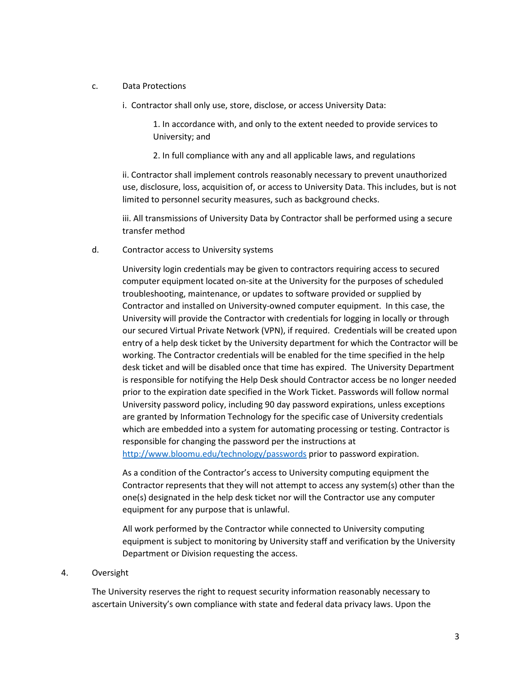## c. Data Protections

i. Contractor shall only use, store, disclose, or access University Data:

1. In accordance with, and only to the extent needed to provide services to University; and

2. In full compliance with any and all applicable laws, and regulations

ii. Contractor shall implement controls reasonably necessary to prevent unauthorized use, disclosure, loss, acquisition of, or access to University Data. This includes, but is not limited to personnel security measures, such as background checks.

iii. All transmissions of University Data by Contractor shall be performed using a secure transfer method

d. Contractor access to University systems

University login credentials may be given to contractors requiring access to secured computer equipment located on-site at the University for the purposes of scheduled troubleshooting, maintenance, or updates to software provided or supplied by Contractor and installed on University-owned computer equipment. In this case, the University will provide the Contractor with credentials for logging in locally or through our secured Virtual Private Network (VPN), if required. Credentials will be created upon entry of a help desk ticket by the University department for which the Contractor will be working. The Contractor credentials will be enabled for the time specified in the help desk ticket and will be disabled once that time has expired. The University Department is responsible for notifying the Help Desk should Contractor access be no longer needed prior to the expiration date specified in the Work Ticket. Passwords will follow normal University password policy, including 90 day password expirations, unless exceptions are granted by Information Technology for the specific case of University credentials which are embedded into a system for automating processing or testing. Contractor is responsible for changing the password per the instructions at <http://www.bloomu.edu/technology/passwords> prior to password expiration.

As a condition of the Contractor's access to University computing equipment the Contractor represents that they will not attempt to access any system(s) other than the one(s) designated in the help desk ticket nor will the Contractor use any computer equipment for any purpose that is unlawful.

All work performed by the Contractor while connected to University computing equipment is subject to monitoring by University staff and verification by the University Department or Division requesting the access.

#### 4. Oversight

The University reserves the right to request security information reasonably necessary to ascertain University's own compliance with state and federal data privacy laws. Upon the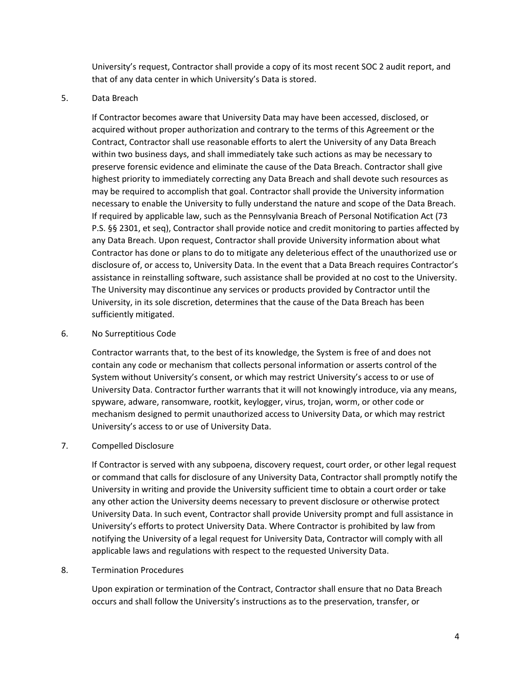University's request, Contractor shall provide a copy of its most recent SOC 2 audit report, and that of any data center in which University's Data is stored.

## 5. Data Breach

If Contractor becomes aware that University Data may have been accessed, disclosed, or acquired without proper authorization and contrary to the terms of this Agreement or the Contract, Contractor shall use reasonable efforts to alert the University of any Data Breach within two business days, and shall immediately take such actions as may be necessary to preserve forensic evidence and eliminate the cause of the Data Breach. Contractor shall give highest priority to immediately correcting any Data Breach and shall devote such resources as may be required to accomplish that goal. Contractor shall provide the University information necessary to enable the University to fully understand the nature and scope of the Data Breach. If required by applicable law, such as the Pennsylvania Breach of Personal Notification Act (73 P.S. §§ 2301, et seq), Contractor shall provide notice and credit monitoring to parties affected by any Data Breach. Upon request, Contractor shall provide University information about what Contractor has done or plans to do to mitigate any deleterious effect of the unauthorized use or disclosure of, or access to, University Data. In the event that a Data Breach requires Contractor's assistance in reinstalling software, such assistance shall be provided at no cost to the University. The University may discontinue any services or products provided by Contractor until the University, in its sole discretion, determines that the cause of the Data Breach has been sufficiently mitigated.

## 6. No Surreptitious Code

Contractor warrants that, to the best of its knowledge, the System is free of and does not contain any code or mechanism that collects personal information or asserts control of the System without University's consent, or which may restrict University's access to or use of University Data. Contractor further warrants that it will not knowingly introduce, via any means, spyware, adware, ransomware, rootkit, keylogger, virus, trojan, worm, or other code or mechanism designed to permit unauthorized access to University Data, or which may restrict University's access to or use of University Data.

# 7. Compelled Disclosure

If Contractor is served with any subpoena, discovery request, court order, or other legal request or command that calls for disclosure of any University Data, Contractor shall promptly notify the University in writing and provide the University sufficient time to obtain a court order or take any other action the University deems necessary to prevent disclosure or otherwise protect University Data. In such event, Contractor shall provide University prompt and full assistance in University's efforts to protect University Data. Where Contractor is prohibited by law from notifying the University of a legal request for University Data, Contractor will comply with all applicable laws and regulations with respect to the requested University Data.

## 8. Termination Procedures

Upon expiration or termination of the Contract, Contractor shall ensure that no Data Breach occurs and shall follow the University's instructions as to the preservation, transfer, or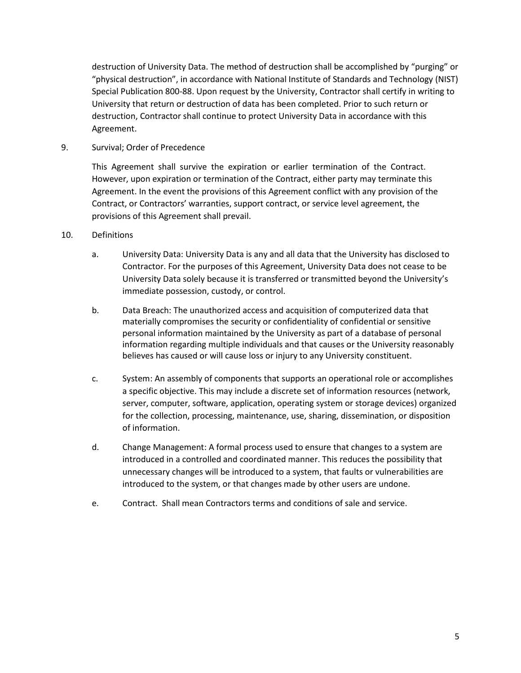destruction of University Data. The method of destruction shall be accomplished by "purging" or "physical destruction", in accordance with National Institute of Standards and Technology (NIST) Special Publication 800-88. Upon request by the University, Contractor shall certify in writing to University that return or destruction of data has been completed. Prior to such return or destruction, Contractor shall continue to protect University Data in accordance with this Agreement.

9. Survival; Order of Precedence

This Agreement shall survive the expiration or earlier termination of the Contract. However, upon expiration or termination of the Contract, either party may terminate this Agreement. In the event the provisions of this Agreement conflict with any provision of the Contract, or Contractors' warranties, support contract, or service level agreement, the provisions of this Agreement shall prevail.

- 10. Definitions
	- a. University Data: University Data is any and all data that the University has disclosed to Contractor. For the purposes of this Agreement, University Data does not cease to be University Data solely because it is transferred or transmitted beyond the University's immediate possession, custody, or control.
	- b. Data Breach: The unauthorized access and acquisition of computerized data that materially compromises the security or confidentiality of confidential or sensitive personal information maintained by the University as part of a database of personal information regarding multiple individuals and that causes or the University reasonably believes has caused or will cause loss or injury to any University constituent.
	- c. System: An assembly of components that supports an operational role or accomplishes a specific objective. This may include a discrete set of information resources (network, server, computer, software, application, operating system or storage devices) organized for the collection, processing, maintenance, use, sharing, dissemination, or disposition of information.
	- d. Change Management: A formal process used to ensure that changes to a system are introduced in a controlled and coordinated manner. This reduces the possibility that unnecessary changes will be introduced to a system, that faults or vulnerabilities are introduced to the system, or that changes made by other users are undone.
	- e. Contract. Shall mean Contractors terms and conditions of sale and service.